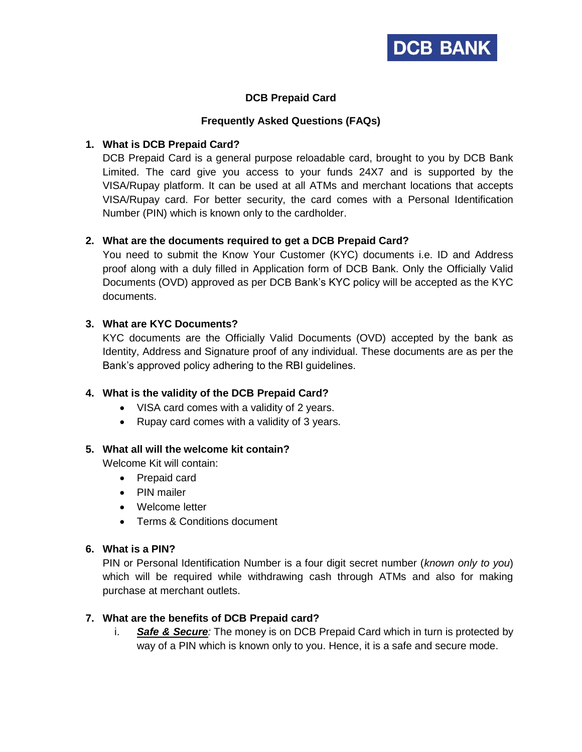

# **DCB Prepaid Card**

## **Frequently Asked Questions (FAQs)**

# **1. What is DCB Prepaid Card?**

DCB Prepaid Card is a general purpose reloadable card, brought to you by DCB Bank Limited. The card give you access to your funds 24X7 and is supported by the VISA/Rupay platform. It can be used at all ATMs and merchant locations that accepts VISA/Rupay card. For better security, the card comes with a Personal Identification Number (PIN) which is known only to the cardholder.

# **2. What are the documents required to get a DCB Prepaid Card?**

You need to submit the Know Your Customer (KYC) documents i.e. ID and Address proof along with a duly filled in Application form of DCB Bank. Only the Officially Valid Documents (OVD) approved as per DCB Bank's KYC policy will be accepted as the KYC documents.

# **3. What are KYC Documents?**

KYC documents are the Officially Valid Documents (OVD) accepted by the bank as Identity, Address and Signature proof of any individual. These documents are as per the Bank's approved policy adhering to the RBI guidelines.

### **4. What is the validity of the DCB Prepaid Card?**

- VISA card comes with a validity of 2 years.
- Rupay card comes with a validity of 3 years.

### **5. What all will the welcome kit contain?**

Welcome Kit will contain:

- Prepaid card
- PIN mailer
- Welcome letter
- Terms & Conditions document

### **6. What is a PIN?**

PIN or Personal Identification Number is a four digit secret number (*known only to you*) which will be required while withdrawing cash through ATMs and also for making purchase at merchant outlets.

### **7. What are the benefits of DCB Prepaid card?**

i. *Safe & Secure:* The money is on DCB Prepaid Card which in turn is protected by way of a PIN which is known only to you. Hence, it is a safe and secure mode.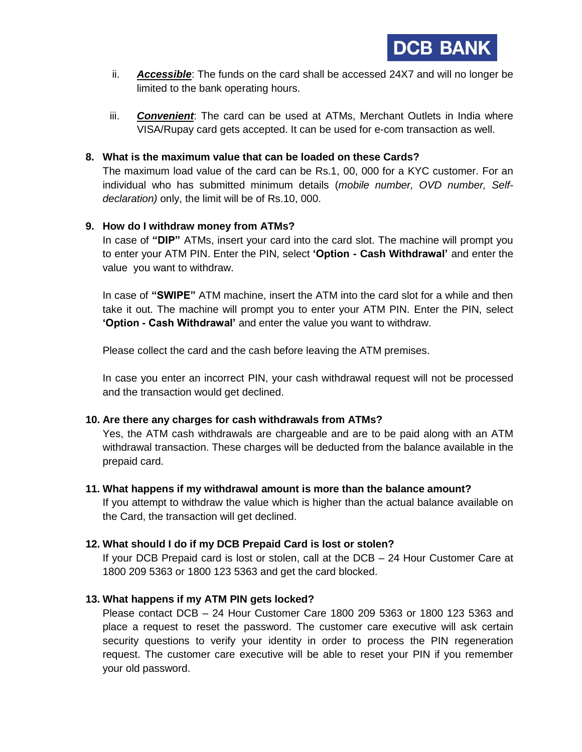- ii. *Accessible*: The funds on the card shall be accessed 24X7 and will no longer be limited to the bank operating hours.
- iii. *Convenient*: The card can be used at ATMs, Merchant Outlets in India where VISA/Rupay card gets accepted. It can be used for e-com transaction as well.

### **8. What is the maximum value that can be loaded on these Cards?**

The maximum load value of the card can be Rs.1, 00, 000 for a KYC customer. For an individual who has submitted minimum details (*mobile number, OVD number, Selfdeclaration)* only, the limit will be of Rs.10, 000.

# **9. How do I withdraw money from ATMs?**

In case of **"DIP"** ATMs, insert your card into the card slot. The machine will prompt you to enter your ATM PIN. Enter the PIN, select **'Option - Cash Withdrawal'** and enter the value you want to withdraw.

In case of **"SWIPE"** ATM machine, insert the ATM into the card slot for a while and then take it out. The machine will prompt you to enter your ATM PIN. Enter the PIN, select **'Option - Cash Withdrawal'** and enter the value you want to withdraw.

Please collect the card and the cash before leaving the ATM premises.

In case you enter an incorrect PIN, your cash withdrawal request will not be processed and the transaction would get declined.

### **10. Are there any charges for cash withdrawals from ATMs?**

Yes, the ATM cash withdrawals are chargeable and are to be paid along with an ATM withdrawal transaction. These charges will be deducted from the balance available in the prepaid card.

### **11. What happens if my withdrawal amount is more than the balance amount?**

If you attempt to withdraw the value which is higher than the actual balance available on the Card, the transaction will get declined.

# **12. What should I do if my DCB Prepaid Card is lost or stolen?**

If your DCB Prepaid card is lost or stolen, call at the DCB – 24 Hour Customer Care at 1800 209 5363 or 1800 123 5363 and get the card blocked.

# **13. What happens if my ATM PIN gets locked?**

Please contact DCB – 24 Hour Customer Care 1800 209 5363 or 1800 123 5363 and place a request to reset the password. The customer care executive will ask certain security questions to verify your identity in order to process the PIN regeneration request. The customer care executive will be able to reset your PIN if you remember your old password.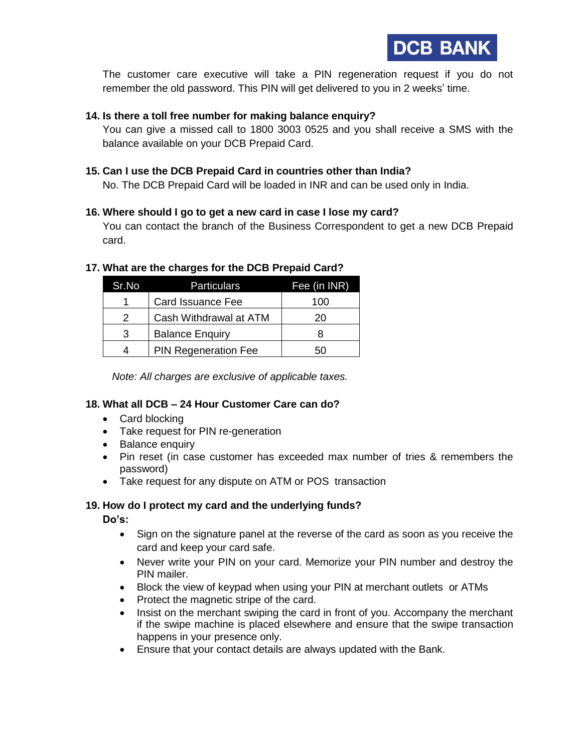**DCB BANK** 

The customer care executive will take a PIN regeneration request if you do not remember the old password. This PIN will get delivered to you in 2 weeks' time.

#### **14. Is there a toll free number for making balance enquiry?**

You can give a missed call to 1800 3003 0525 and you shall receive a SMS with the balance available on your DCB Prepaid Card.

#### **15. Can I use the DCB Prepaid Card in countries other than India?**

No. The DCB Prepaid Card will be loaded in INR and can be used only in India.

#### **16. Where should I go to get a new card in case I lose my card?**

You can contact the branch of the Business Correspondent to get a new DCB Prepaid card.

#### **17. What are the charges for the DCB Prepaid Card?**

| Sr.No | <b>Particulars</b>          | Fee (in INR) |
|-------|-----------------------------|--------------|
| 1     | Card Issuance Fee           | 100          |
| 2     | Cash Withdrawal at ATM      | 20           |
| 3     | <b>Balance Enquiry</b>      |              |
| 4     | <b>PIN Regeneration Fee</b> | 50           |

*Note: All charges are exclusive of applicable taxes.*

### **18. What all DCB – 24 Hour Customer Care can do?**

- Card blocking
- Take request for PIN re-generation
- Balance enquiry
- Pin reset (in case customer has exceeded max number of tries & remembers the password)
- Take request for any dispute on ATM or POS transaction

### **19. How do I protect my card and the underlying funds?**

**Do's:**

- Sign on the signature panel at the reverse of the card as soon as you receive the card and keep your card safe.
- Never write your PIN on your card. Memorize your PIN number and destroy the PIN mailer.
- Block the view of keypad when using your PIN at merchant outlets or ATMs
- Protect the magnetic stripe of the card.
- Insist on the merchant swiping the card in front of you. Accompany the merchant if the swipe machine is placed elsewhere and ensure that the swipe transaction happens in your presence only.
- Ensure that your contact details are always updated with the Bank.